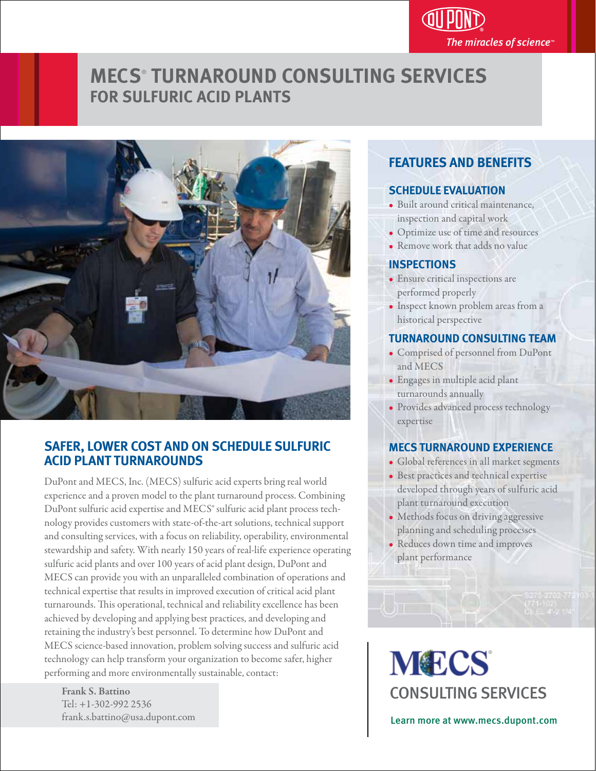# The miracles of science $\mathbb P$

## **MECS**®  **TURNAROUND CONSULTING SERVICES FOR SULFURIC ACID PLANTS**



#### **SAFER, LOWER COST AND ON SCHEDULE SULFURIC ACID PLANT TURNAROUNDS**

DuPont and MECS, Inc. (MECS) sulfuric acid experts bring real world experience and a proven model to the plant turnaround process. Combining DuPont sulfuric acid expertise and MECS® sulfuric acid plant process technology provides customers with state-of-the-art solutions, technical support and consulting services, with a focus on reliability, operability, environmental stewardship and safety. With nearly 150 years of real-life experience operating sulfuric acid plants and over 100 years of acid plant design, DuPont and MECS can provide you with an unparalleled combination of operations and technical expertise that results in improved execution of critical acid plant turnarounds. This operational, technical and reliability excellence has been achieved by developing and applying best practices, and developing and retaining the industry's best personnel. To determine how DuPont and MECS science-based innovation, problem solving success and sulfuric acid technology can help transform your organization to become safer, higher performing and more environmentally sustainable, contact:  $\frac{1}{2}$ 

 Frank S. Battino Tel: +1-302-992 2536

#### **FEATURES AND BENEFITS**

#### **SCHEDULE EVALUATION**

- Built around critical maintenance, inspection and capital work
- Optimize use of time and resources
- Remove work that adds no value ľ

#### **INSPECTIONS**

- Ensure critical inspections are performed properly
- Inspect known problem areas from a historical perspective

#### **TURNAROUND CONSULTING TEAM**

- Comprised of personnel from DuPont and MECS
- Engages in multiple acid plant turnarounds annually
- Provides advanced process technology expertise

#### **MECS TURNAROUND EXPERIENCE**

- Global references in all market segments
- Best practices and technical expertise developed through years of sulfuric acid plant turnaround execution
- Methods focus on driving aggressive planning and scheduling processes
- Reduces down time and improves plant performance

**MECS** CONSULTING SERVICES

frank.s.battino@usa.dupont.com Learn more at www.mecs.dupont.com